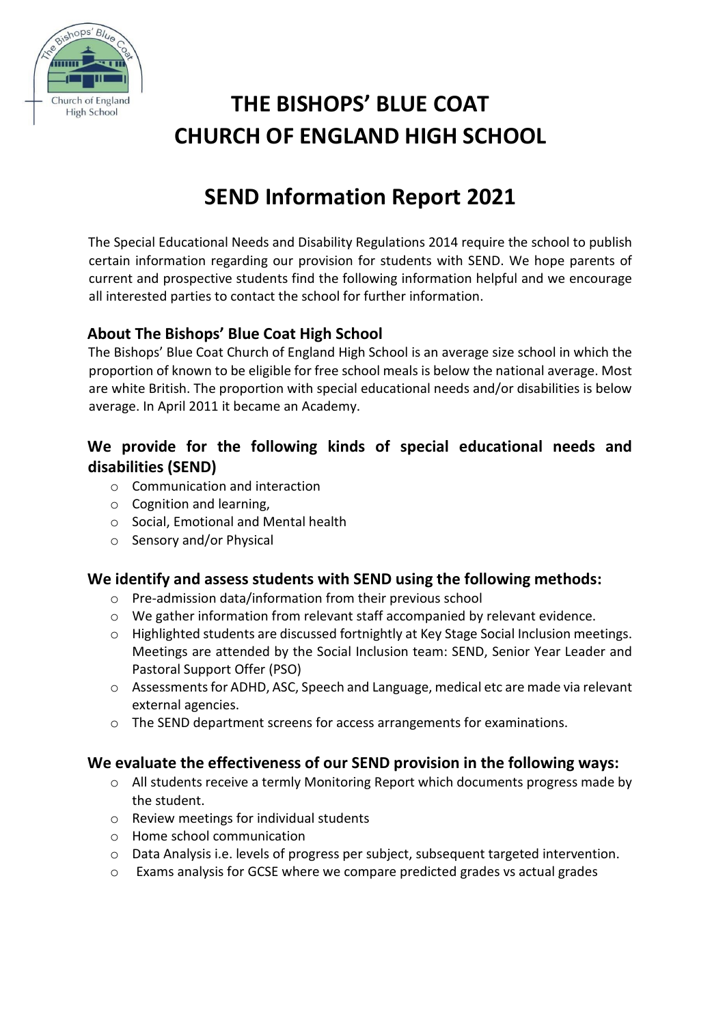

# **THE BISHOPS' BLUE COAT CHURCH OF ENGLAND HIGH SCHOOL**

## **SEND Information Report 2021**

The Special Educational Needs and Disability Regulations 2014 require the school to publish certain information regarding our provision for students with SEND. We hope parents of current and prospective students find the following information helpful and we encourage all interested parties to contact the school for further information.

## **About The Bishops' Blue Coat High School**

The Bishops' Blue Coat Church of England High School is an average size school in which the proportion of known to be eligible for free school meals is below the national average. Most are white British. The proportion with special educational needs and/or disabilities is below average. In April 2011 it became an Academy.

## **We provide for the following kinds of special educational needs and disabilities (SEND)**

- o Communication and interaction
- o Cognition and learning,
- o Social, Emotional and Mental health
- o Sensory and/or Physical

#### **We identify and assess students with SEND using the following methods:**

- o Pre-admission data/information from their previous school
- o We gather information from relevant staff accompanied by relevant evidence.
- o Highlighted students are discussed fortnightly at Key Stage Social Inclusion meetings. Meetings are attended by the Social Inclusion team: SEND, Senior Year Leader and Pastoral Support Offer (PSO)
- o Assessments for ADHD, ASC, Speech and Language, medical etc are made via relevant external agencies.
- $\circ$  The SEND department screens for access arrangements for examinations.

#### **We evaluate the effectiveness of our SEND provision in the following ways:**

- $\circ$  All students receive a termly Monitoring Report which documents progress made by the student.
- o Review meetings for individual students
- o Home school communication
- o Data Analysis i.e. levels of progress per subject, subsequent targeted intervention.
- o Exams analysis for GCSE where we compare predicted grades vs actual grades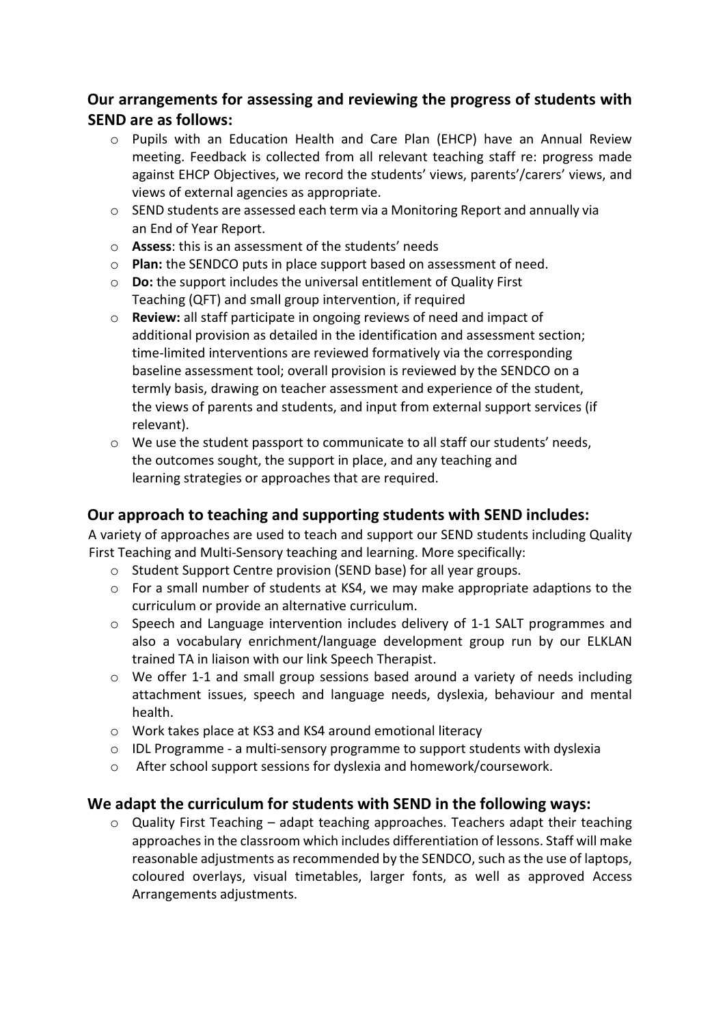### **Our arrangements for assessing and reviewing the progress of students with SEND are as follows:**

- o Pupils with an Education Health and Care Plan (EHCP) have an Annual Review meeting. Feedback is collected from all relevant teaching staff re: progress made against EHCP Objectives, we record the students' views, parents'/carers' views, and views of external agencies as appropriate.
- $\circ$  SEND students are assessed each term via a Monitoring Report and annually via an End of Year Report.
- o **Assess**: this is an assessment of the students' needs
- o **Plan:** the SENDCO puts in place support based on assessment of need.
- o **Do:** the support includes the universal entitlement of Quality First Teaching (QFT) and small group intervention, if required
- o **Review:** all staff participate in ongoing reviews of need and impact of additional provision as detailed in the identification and assessment section; time-limited interventions are reviewed formatively via the corresponding baseline assessment tool; overall provision is reviewed by the SENDCO on a termly basis, drawing on teacher assessment and experience of the student, the views of parents and students, and input from external support services (if relevant).
- o We use the student passport to communicate to all staff our students' needs, the outcomes sought, the support in place, and any teaching and learning strategies or approaches that are required.

#### **Our approach to teaching and supporting students with SEND includes:**

A variety of approaches are used to teach and support our SEND students including Quality First Teaching and Multi-Sensory teaching and learning. More specifically:

- o Student Support Centre provision (SEND base) for all year groups.
- o For a small number of students at KS4, we may make appropriate adaptions to the curriculum or provide an alternative curriculum.
- o Speech and Language intervention includes delivery of 1-1 SALT programmes and also a vocabulary enrichment/language development group run by our ELKLAN trained TA in liaison with our link Speech Therapist.
- o We offer 1-1 and small group sessions based around a variety of needs including attachment issues, speech and language needs, dyslexia, behaviour and mental health.
- o Work takes place at KS3 and KS4 around emotional literacy
- $\circ$  IDL Programme a multi-sensory programme to support students with dyslexia
- o After school support sessions for dyslexia and homework/coursework.

#### **We adapt the curriculum for students with SEND in the following ways:**

 $\circ$  Quality First Teaching – adapt teaching approaches. Teachers adapt their teaching approaches in the classroom which includes differentiation of lessons. Staff will make reasonable adjustments as recommended by the SENDCO, such as the use of laptops, coloured overlays, visual timetables, larger fonts, as well as approved Access Arrangements adjustments.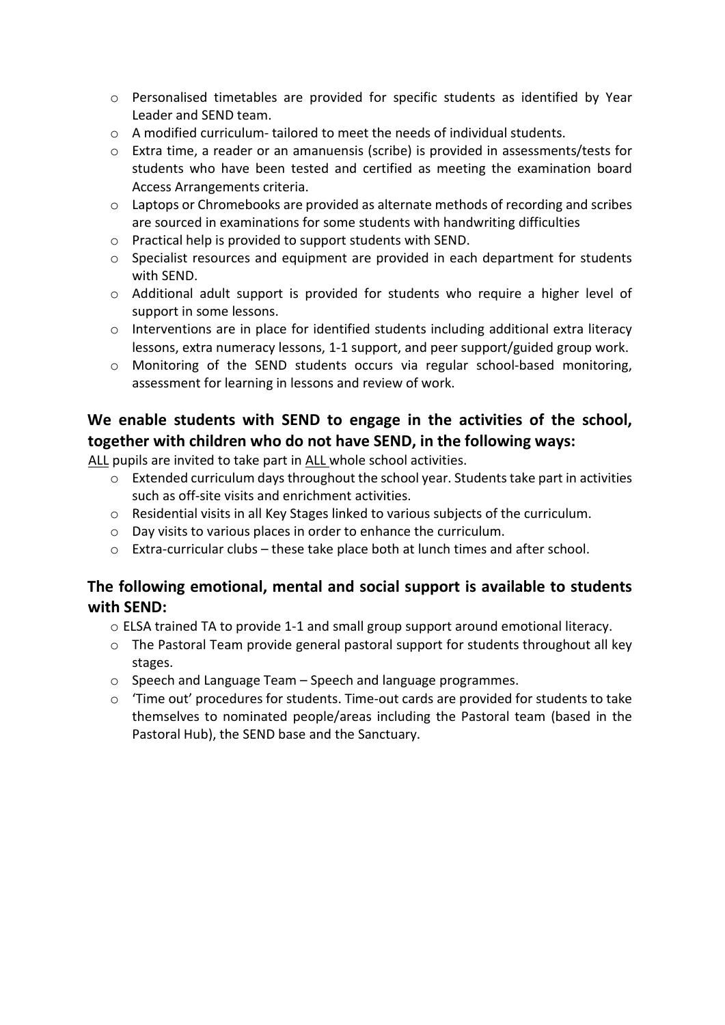- o Personalised timetables are provided for specific students as identified by Year Leader and SEND team.
- $\circ$  A modified curriculum- tailored to meet the needs of individual students.
- o Extra time, a reader or an amanuensis (scribe) is provided in assessments/tests for students who have been tested and certified as meeting the examination board Access Arrangements criteria.
- $\circ$  Laptops or Chromebooks are provided as alternate methods of recording and scribes are sourced in examinations for some students with handwriting difficulties
- o Practical help is provided to support students with SEND.
- o Specialist resources and equipment are provided in each department for students with SEND.
- o Additional adult support is provided for students who require a higher level of support in some lessons.
- o Interventions are in place for identified students including additional extra literacy lessons, extra numeracy lessons, 1-1 support, and peer support/guided group work.
- o Monitoring of the SEND students occurs via regular school-based monitoring, assessment for learning in lessons and review of work.

## **We enable students with SEND to engage in the activities of the school, together with children who do not have SEND, in the following ways:**

ALL pupils are invited to take part in ALL whole school activities.

- o Extended curriculum days throughout the school year. Students take part in activities such as off-site visits and enrichment activities.
- $\circ$  Residential visits in all Key Stages linked to various subjects of the curriculum.
- o Day visits to various places in order to enhance the curriculum.
- $\circ$  Extra-curricular clubs these take place both at lunch times and after school.

### **The following emotional, mental and social support is available to students with SEND:**

- o ELSA trained TA to provide 1-1 and small group support around emotional literacy.
- o The Pastoral Team provide general pastoral support for students throughout all key stages.
- o Speech and Language Team Speech and language programmes.
- o 'Time out' procedures for students. Time-out cards are provided for students to take themselves to nominated people/areas including the Pastoral team (based in the Pastoral Hub), the SEND base and the Sanctuary.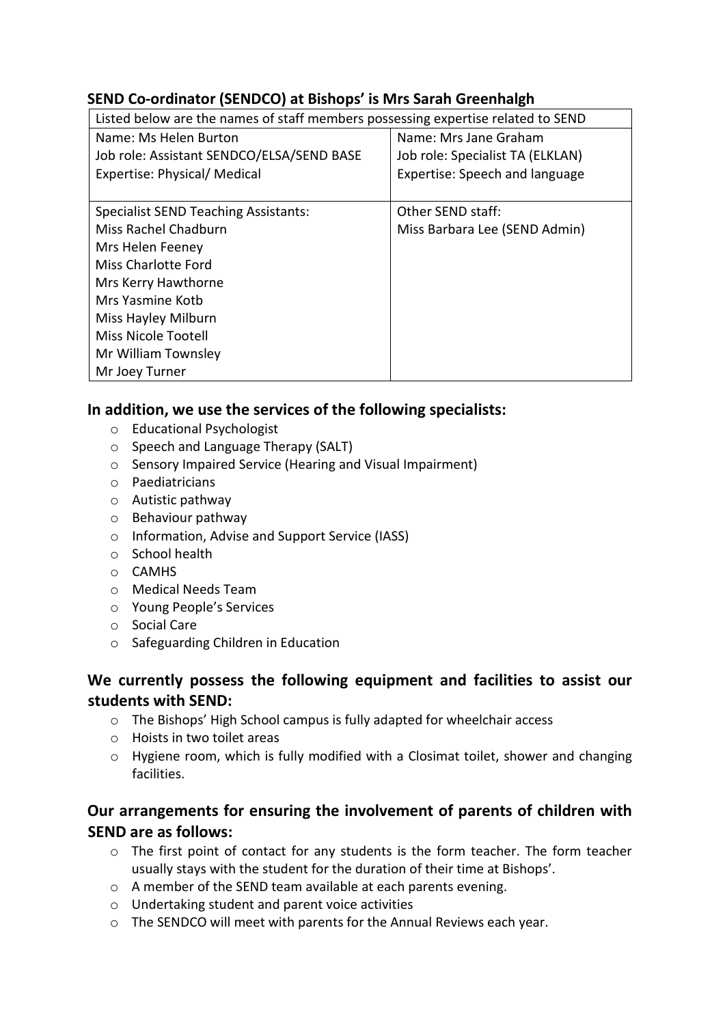#### **SEND Co-ordinator (SENDCO) at Bishops' is Mrs Sarah Greenhalgh**

| Listed below are the names of staff members possessing expertise related to SEND |                                  |
|----------------------------------------------------------------------------------|----------------------------------|
| Name: Ms Helen Burton                                                            | Name: Mrs Jane Graham            |
| Job role: Assistant SENDCO/ELSA/SEND BASE                                        | Job role: Specialist TA (ELKLAN) |
| Expertise: Physical/ Medical                                                     | Expertise: Speech and language   |
|                                                                                  |                                  |
| <b>Specialist SEND Teaching Assistants:</b>                                      | Other SEND staff:                |
| Miss Rachel Chadburn                                                             | Miss Barbara Lee (SEND Admin)    |
| Mrs Helen Feeney                                                                 |                                  |
| <b>Miss Charlotte Ford</b>                                                       |                                  |
| Mrs Kerry Hawthorne                                                              |                                  |
| Mrs Yasmine Koth                                                                 |                                  |
| Miss Hayley Milburn                                                              |                                  |
| <b>Miss Nicole Tootell</b>                                                       |                                  |
| Mr William Townsley                                                              |                                  |
| Mr Joey Turner                                                                   |                                  |

#### **In addition, we use the services of the following specialists:**

- o Educational Psychologist
- o Speech and Language Therapy (SALT)
- o Sensory Impaired Service (Hearing and Visual Impairment)
- o Paediatricians
- o Autistic pathway
- o Behaviour pathway
- o Information, Advise and Support Service (IASS)
- o School health
- o CAMHS
- o Medical Needs Team
- o Young People's Services
- o Social Care
- o Safeguarding Children in Education

### **We currently possess the following equipment and facilities to assist our students with SEND:**

- o The Bishops' High School campus is fully adapted for wheelchair access
- o Hoists in two toilet areas
- o Hygiene room, which is fully modified with a Closimat toilet, shower and changing facilities.

## **Our arrangements for ensuring the involvement of parents of children with SEND are as follows:**

- $\circ$  The first point of contact for any students is the form teacher. The form teacher usually stays with the student for the duration of their time at Bishops'.
- o A member of the SEND team available at each parents evening.
- o Undertaking student and parent voice activities
- o The SENDCO will meet with parents for the Annual Reviews each year.